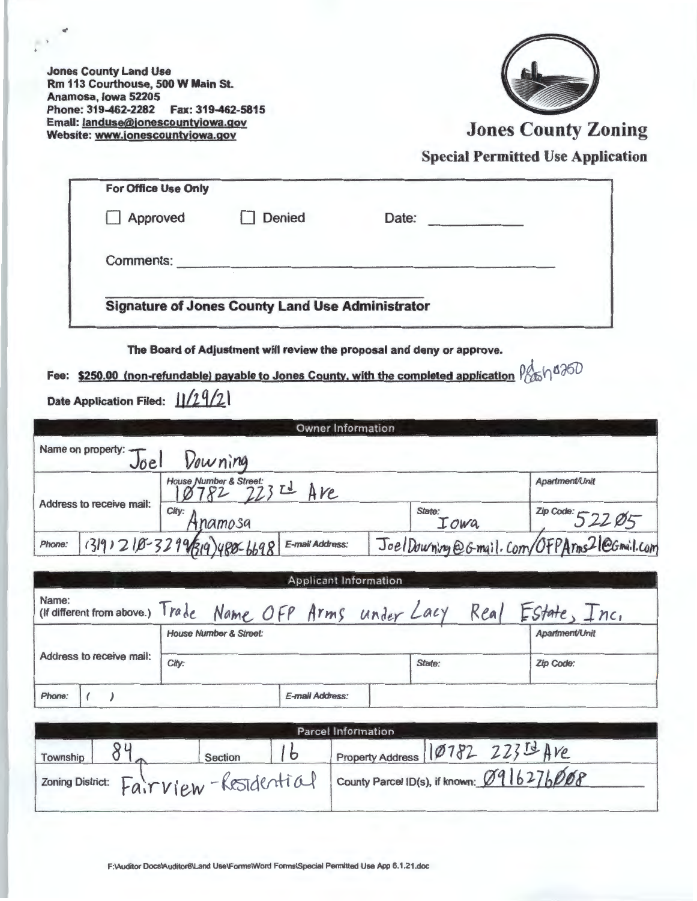Jones County Land Use Rm 113 Courthouse, 500 W Main St. Anamosa, Iowa 52205 Phone: 319-462-2282 Fax: 319-462-5815 Email: **landuse@jonescountyiowa.gov**<br>Website: www.jonescountyiowa.gov



Jones County Zoning

Special Permitted Use Application

**The Board of Adjustment will review the proposal and deny or approve.** 

**Fee: \$250.00 (non-refundable) payable to Jones County, with the completed application**  $\frac{\rho_{\text{obs}}}{\rho_{\text{obs}}}\sqrt{1350}$ **Date Application Filed:**  $11/29/21$ 

|                          |                                                         |                                         | <b>Owner Information</b>     |                                               |                                        |  |
|--------------------------|---------------------------------------------------------|-----------------------------------------|------------------------------|-----------------------------------------------|----------------------------------------|--|
|                          | Name on property: $\leftarrow$<br>Joe                   | Vourning                                |                              |                                               |                                        |  |
|                          |                                                         | House Number & Street:<br>123 773 2 AVe |                              |                                               | <b>Apartment/Unit</b>                  |  |
| Address to receive mail: |                                                         | City:<br>namosa                         |                              | State:<br>Iowa                                | $2ip \, \text{Code:} 522 \, \text{Ø}5$ |  |
| Phone:                   | $(3 9)$ 2 $(8-329\sqrt{3}/9)$ y 80-6698 E-mail Address: |                                         |                              | Joel Downing @ Gmail. Com/OFPArms21@Gmail.com |                                        |  |
|                          |                                                         |                                         | <b>Applicant Information</b> |                                               |                                        |  |
| Name <sup>.</sup>        |                                                         |                                         |                              |                                               |                                        |  |

| Name:                    |                                   | (If different from above.) Trade Name OFP Arms under Lacy | Real   | Estate, Inc.     |
|--------------------------|-----------------------------------|-----------------------------------------------------------|--------|------------------|
|                          | <b>House Number &amp; Street:</b> |                                                           |        | Apartment/Unit   |
| Address to receive mail: | City:                             |                                                           | State: | <b>Zip Code:</b> |
| Phone:                   |                                   | E-mail Address:                                           |        |                  |

| <b>Parcel Information</b>              |  |         |  |                                           |                                  |
|----------------------------------------|--|---------|--|-------------------------------------------|----------------------------------|
| Township                               |  | Section |  |                                           | Property Address 10782 22314 AVE |
| zoning District: Fair View-Residential |  |         |  | County Parcel ID(s), if known: 0916276008 |                                  |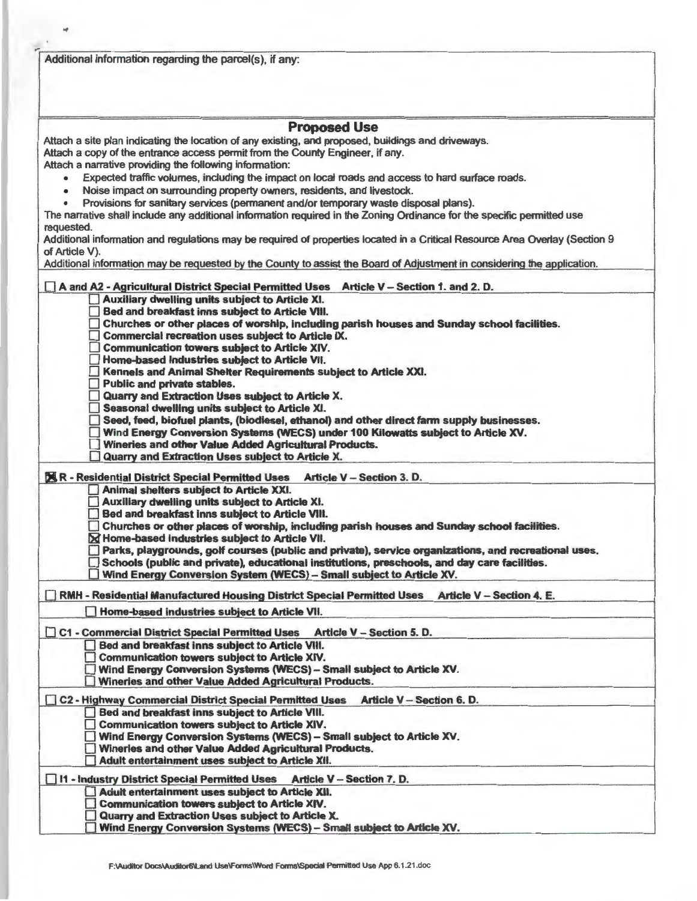| Additional information regarding the parcel(s), if any:                                                                                       |  |
|-----------------------------------------------------------------------------------------------------------------------------------------------|--|
| <b>Proposed Use</b>                                                                                                                           |  |
| Attach a site plan indicating the location of any existing, and proposed, buildings and driveways.                                            |  |
| Attach a copy of the entrance access permit from the County Engineer, if any.                                                                 |  |
| Attach a narrative providing the following information:                                                                                       |  |
| Expected traffic volumes, including the impact on local roads and access to hard surface roads.<br>۰                                          |  |
| Noise impact on surrounding property owners, residents, and livestock.<br>٠                                                                   |  |
| Provisions for sanitary services (permanent and/or temporary waste disposal plans).                                                           |  |
| The narrative shall include any additional information required in the Zoning Ordinance for the specific permitted use<br>requested.          |  |
| Additional information and regulations may be required of properties located in a Critical Resource Area Overlay (Section 9<br>of Article V). |  |
| Additional information may be requested by the County to assist the Board of Adjustment in considering the application.                       |  |
| A and A2 - Agricultural District Special Permitted Uses Article V - Section 1. and 2. D.                                                      |  |
| Auxiliary dwelling units subject to Article XI.                                                                                               |  |
| Bed and breakfast inns subject to Article VIII.                                                                                               |  |
| Churches or other places of worship, including parish houses and Sunday school facilities.                                                    |  |
| Commercial recreation uses subject to Article IX.                                                                                             |  |
| <b>Communication towers subject to Article XIV.</b>                                                                                           |  |
| Home-based Industries subject to Article VII.                                                                                                 |  |
| Kennels and Animal Shelter Requirements subject to Article XXI.                                                                               |  |
| <b>Public and private stables.</b>                                                                                                            |  |
| Quarry and Extraction Uses subject to Article X.<br>Seasonal dwelling units subject to Article XI.                                            |  |
| $\Box$ Seed, feed, biofuel plants, (biodiesel, ethanol) and other direct farm supply businesses.                                              |  |
| Wind Energy Conversion Systems (WECS) under 100 Kilowatts subject to Article XV.                                                              |  |
| Wineries and other Value Added Agricultural Products.                                                                                         |  |
| Quarry and Extraction Uses subject to Article X.                                                                                              |  |
| <b>X R - Residential District Special Permitted Uses</b><br>Article V - Section 3. D.                                                         |  |
| Animal shelters subject to Article XXI.                                                                                                       |  |
| Auxiliary dwelling units subject to Article XI.                                                                                               |  |
| Bed and breakfast inns subject to Article VIII.                                                                                               |  |
| Churches or other places of worship, including parish houses and Sunday school facilities.                                                    |  |
| X Home-based industries subject to Article VII.                                                                                               |  |
| Parks, playgrounds, golf courses (public and private), service organizations, and recreational uses.                                          |  |
| Schools (public and private), educational institutions, preschools, and day care facilities.                                                  |  |
| Wind Energy Conversion System (WECS) - Small subject to Article XV.                                                                           |  |
| <b>Article V - Section 4. E.</b><br>RMH - Residential Manufactured Housing District Special Permitted Uses                                    |  |
| Home-based industries subject to Article VII.                                                                                                 |  |
| <b>Article V - Section 5. D.</b><br>C1 - Commercial District Special Permitted Uses                                                           |  |
| Bed and breakfast inns subject to Article VIII.                                                                                               |  |
| <b>Communication towers subject to Article XIV.</b>                                                                                           |  |
| Wind Energy Conversion Systems (WECS) - Small subject to Article XV.                                                                          |  |
| Wineries and other Value Added Agricultural Products.                                                                                         |  |
| Article V - Section 6. D.<br>C2 - Highway Commercial District Special Permitted Uses                                                          |  |
| Bed and breakfast inns subject to Article VIII.                                                                                               |  |
| <b>Communication towers subject to Article XIV.</b>                                                                                           |  |
| Wind Energy Conversion Systems (WECS) - Small subject to Article XV.                                                                          |  |
| Winerles and other Value Added Agricultural Products.                                                                                         |  |
| Adult entertainment uses subject to Article XII.                                                                                              |  |
|                                                                                                                                               |  |
| 11 - Industry District Special Permitted Uses Article V - Section 7. D.                                                                       |  |
| Adult entertainment uses subject to Article XII.                                                                                              |  |
| <b>Communication towers subject to Article XIV.</b><br>Quarry and Extraction Uses subject to Article X.                                       |  |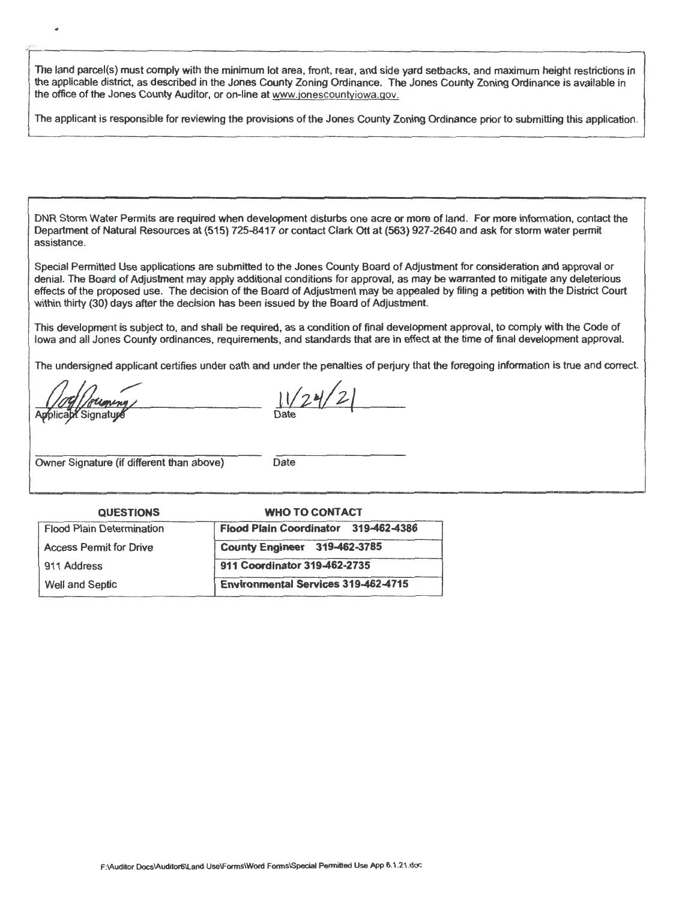The land parcel(s) must comply with the minimum lot area, front, rear, and side yard setbacks, and maximum height restrictions in the applicable district, as described in the Jones County Zoning Ordinance. The Jones County Zoning Ordinance is available in the office of the Jones County Auditor, or on-line at www.jonescountyiowa.gov.

The applicant is responsible for reviewing the provisions of the Jones County Zoning Ordinance prior to submitting this application.

DNR Storm Water Permits are required when development disturbs one acre or more of land. For more information, contact the Department of Natural Resources at (515) 725-8417 or contact Clark Ott at (563) 927-2640 and ask for storm water permit assistance.

Special Permitted Use applications are submitted to the Jones County Board of Adjustment for consideration and approval or denial. The Board of Adjustment may apply additional conditions for approval, as may be warranted to mitigate any deleterious effects of the proposed use. The decision of the Board of Adjustment may be appealed by filing a petition with the District Court within thirty (30) days after the decision has been issued by the Board of Adjustment.

This development is subject to, and shall be required, as a condition of final development approval, to comply with the Code of Iowa and all Jones County ordinances, requirements, and standards that are in effect at the time of final development approval.

The undersigned applicant certifies under oath and under the penalties of perjury that the foregoing information is true and correct.

plicapt Signature

..

 $\frac{1}{2}$ 

Date

Owner Signature (if different than above) Date

| <b>QUESTIONS</b>                 | <b>WHO TO CONTACT</b>                      |  |  |
|----------------------------------|--------------------------------------------|--|--|
| <b>Flood Plain Determination</b> | Flood Plain Coordinator 319-462-4386       |  |  |
| <b>Access Permit for Drive</b>   | County Engineer 319-462-3785               |  |  |
| 911 Address                      | 911 Coordinator 319-462-2735               |  |  |
| Well and Septic                  | <b>Environmental Services 319-462-4715</b> |  |  |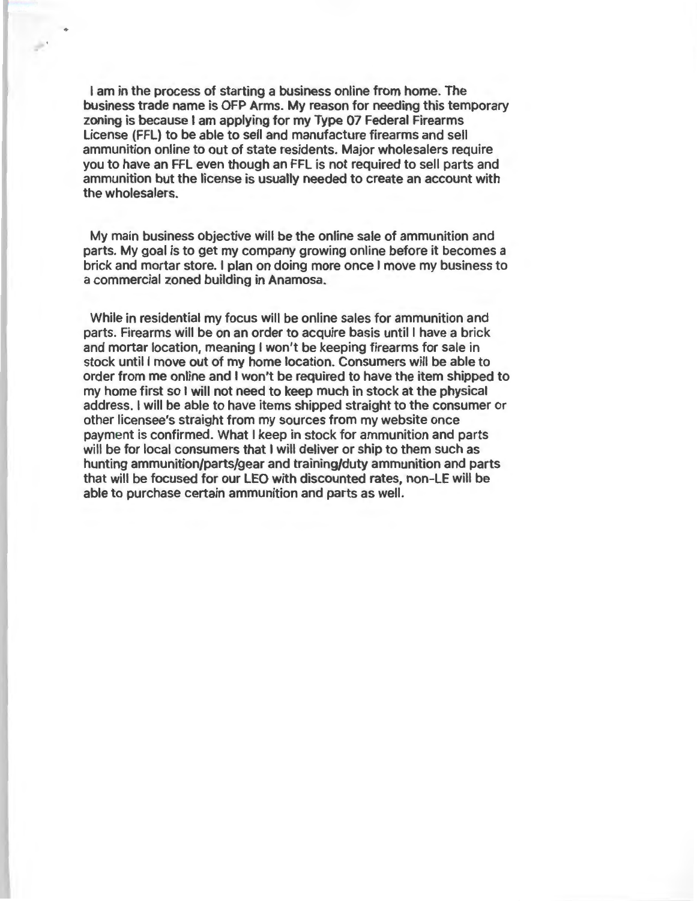I am in the process of starting a business online from home. The business trade name is OFP Arms. My reason for needing this temporary zoning is because I am applying for my Type 07 Federal Firearms License (FFL) to be able to sell and manufacture firearms and sell ammunition online to out of state residents. Major wholesalers require you to have an FFL even though an FFL is not required to sell parts and ammunition but the license is usually needed to create an account with the wholesalers.

 $\mathbb{R}^2$ 

My main business objective will be the online sale of ammunition and parts. My goal is to get my company growing online before it becomes a brick and mortar store. I plan on doing more once I move my business to a commercial zoned building in Anamosa.

While in residential my focus will be online sales for ammunition and parts. Firearms will be on an order to acquire basis until I have a brick and mortar location, meaning I won't be keeping firearms for sale in stock until I move out of my home location. Consumers will be able to order from me online and I won't be required to have the item shipped to my home first so I will not need to keep much in stock at the physical address. I will be able to have items shipped straight to the consumer or other licensee's straight from my sources from my website once payment is confirmed. What I keep in stock for ammunition and parts will be for local consumers that I will deliver or ship to them such as hunting ammunition/parts/gear and training/duty ammunition and parts that will be focused for our LEO with discounted rates, non-LE will be able to purchase certain ammunition and parts as well.